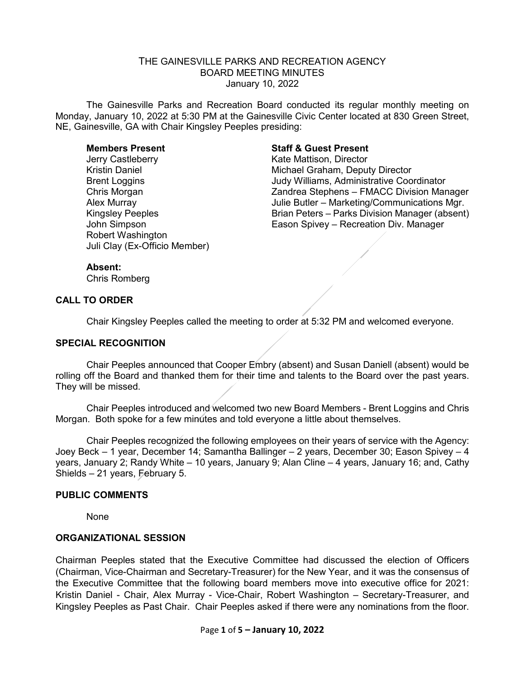## THE GAINESVILLE PARKS AND RECREATION AGENCY BOARD MEETING MINUTES January 10, 2022

The Gainesville Parks and Recreation Board conducted its regular monthly meeting on Monday, January 10, 2022 at 5:30 PM at the Gainesville Civic Center located at 830 Green Street, NE, Gainesville, GA with Chair Kingsley Peeples presiding:

Jerry Castleberry Kate Mattison, Director Robert Washington Juli Clay (Ex-Officio Member)

## **Members Present Staff & Guest Present**

Michael Graham, Deputy Director Brent Loggins Judy Williams, Administrative Coordinator Chris Morgan Zandrea Stephens – FMACC Division Manager Alex Murray *Alex Murray* Julie Butler – Marketing/Communications Mgr.<br>Kingsley Peeples **Alex Communications Communications** Brian Peters – Parks Division Manager (absent) Brian Peters – Parks Division Manager (absent) John Simpson Eason Spivey – Recreation Div. Manager

#### **Absent:**

Chris Romberg

## **CALL TO ORDER**

Chair Kingsley Peeples called the meeting to order at 5:32 PM and welcomed everyone.

#### **SPECIAL RECOGNITION**

Chair Peeples announced that Cooper Embry (absent) and Susan Daniell (absent) would be rolling off the Board and thanked them for their time and talents to the Board over the past years. They will be missed.

Chair Peeples introduced and welcomed two new Board Members - Brent Loggins and Chris Morgan. Both spoke for a few minutes and told everyone a little about themselves.

Chair Peeples recognized the following employees on their years of service with the Agency: Joey Beck – 1 year, December 14; Samantha Ballinger – 2 years, December 30; Eason Spivey – 4 years, January 2; Randy White – 10 years, January 9; Alan Cline – 4 years, January 16; and, Cathy Shields – 21 years, February 5.

#### **PUBLIC COMMENTS**

None

#### **ORGANIZATIONAL SESSION**

Chairman Peeples stated that the Executive Committee had discussed the election of Officers (Chairman, Vice-Chairman and Secretary-Treasurer) for the New Year, and it was the consensus of the Executive Committee that the following board members move into executive office for 2021: Kristin Daniel - Chair, Alex Murray - Vice-Chair, Robert Washington – Secretary-Treasurer, and Kingsley Peeples as Past Chair. Chair Peeples asked if there were any nominations from the floor.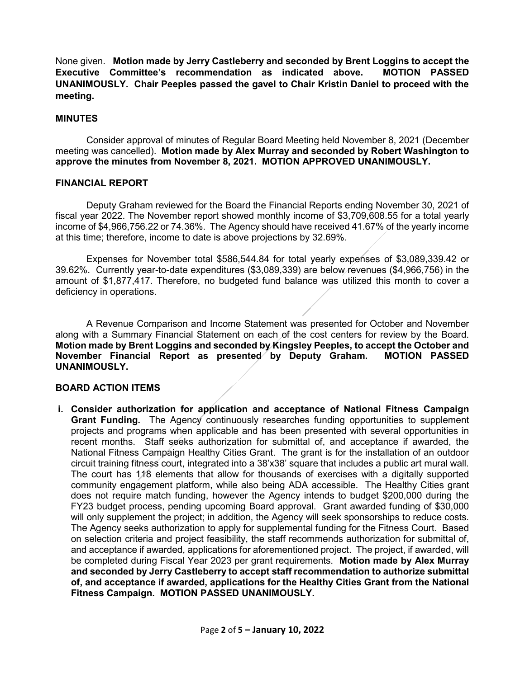None given. **Motion made by Jerry Castleberry and seconded by Brent Loggins to accept the Executive Committee's recommendation as indicated above. MOTION PASSED UNANIMOUSLY. Chair Peeples passed the gavel to Chair Kristin Daniel to proceed with the meeting.**

## **MINUTES**

Consider approval of minutes of Regular Board Meeting held November 8, 2021 (December meeting was cancelled). **Motion made by Alex Murray and seconded by Robert Washington to approve the minutes from November 8, 2021. MOTION APPROVED UNANIMOUSLY.**

## **FINANCIAL REPORT**

Deputy Graham reviewed for the Board the Financial Reports ending November 30, 2021 of fiscal year 2022. The November report showed monthly income of \$3,709,608.55 for a total yearly income of \$4,966,756.22 or 74.36%. The Agency should have received 41.67% of the yearly income at this time; therefore, income to date is above projections by 32.69%.

Expenses for November total \$586,544.84 for total yearly expenses of \$3,089,339.42 or 39.62%. Currently year-to-date expenditures (\$3,089,339) are below revenues (\$4,966,756) in the amount of \$1,877,417. Therefore, no budgeted fund balance was utilized this month to cover a deficiency in operations.

A Revenue Comparison and Income Statement was presented for October and November along with a Summary Financial Statement on each of the cost centers for review by the Board. **Motion made by Brent Loggins and seconded by Kingsley Peeples, to accept the October and November Financial Report as presented by Deputy Graham. MOTION PASSED UNANIMOUSLY.** 

## **BOARD ACTION ITEMS**

**i. Consider authorization for application and acceptance of National Fitness Campaign Grant Funding.** The Agency continuously researches funding opportunities to supplement projects and programs when applicable and has been presented with several opportunities in recent months. Staff seeks authorization for submittal of, and acceptance if awarded, the National Fitness Campaign Healthy Cities Grant. The grant is for the installation of an outdoor circuit training fitness court, integrated into a 38'x38' square that includes a public art mural wall. The court has 118 elements that allow for thousands of exercises with a digitally supported community engagement platform, while also being ADA accessible. The Healthy Cities grant does not require match funding, however the Agency intends to budget \$200,000 during the FY23 budget process, pending upcoming Board approval. Grant awarded funding of \$30,000 will only supplement the project; in addition, the Agency will seek sponsorships to reduce costs. The Agency seeks authorization to apply for supplemental funding for the Fitness Court. Based on selection criteria and project feasibility, the staff recommends authorization for submittal of, and acceptance if awarded, applications for aforementioned project. The project, if awarded, will be completed during Fiscal Year 2023 per grant requirements. **Motion made by Alex Murray and seconded by Jerry Castleberry to accept staff recommendation to authorize submittal of, and acceptance if awarded, applications for the Healthy Cities Grant from the National Fitness Campaign. MOTION PASSED UNANIMOUSLY.**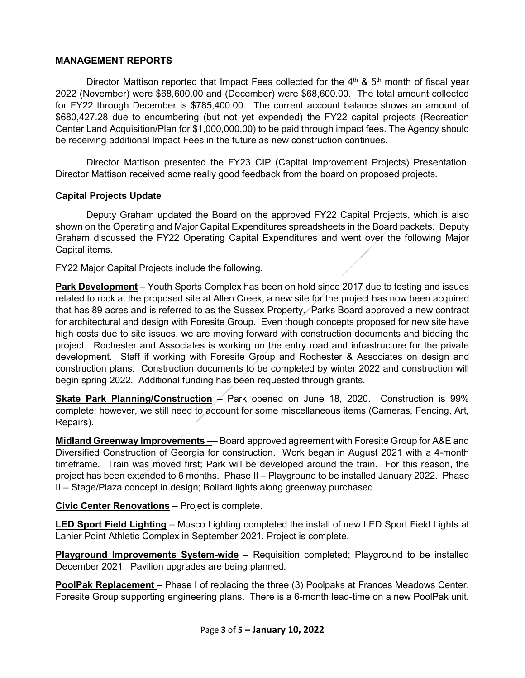# **MANAGEMENT REPORTS**

Director Mattison reported that Impact Fees collected for the  $4<sup>th</sup>$  &  $5<sup>th</sup>$  month of fiscal year 2022 (November) were \$68,600.00 and (December) were \$68,600.00. The total amount collected for FY22 through December is \$785,400.00. The current account balance shows an amount of \$680,427.28 due to encumbering (but not yet expended) the FY22 capital projects (Recreation Center Land Acquisition/Plan for \$1,000,000.00) to be paid through impact fees. The Agency should be receiving additional Impact Fees in the future as new construction continues.

Director Mattison presented the FY23 CIP (Capital Improvement Projects) Presentation. Director Mattison received some really good feedback from the board on proposed projects.

# **Capital Projects Update**

Deputy Graham updated the Board on the approved FY22 Capital Projects, which is also shown on the Operating and Major Capital Expenditures spreadsheets in the Board packets. Deputy Graham discussed the FY22 Operating Capital Expenditures and went over the following Major Capital items.

FY22 Major Capital Projects include the following.

**Park Development** – Youth Sports Complex has been on hold since 2017 due to testing and issues related to rock at the proposed site at Allen Creek, a new site for the project has now been acquired that has 89 acres and is referred to as the Sussex Property. Parks Board approved a new contract for architectural and design with Foresite Group. Even though concepts proposed for new site have high costs due to site issues, we are moving forward with construction documents and bidding the project. Rochester and Associates is working on the entry road and infrastructure for the private development. Staff if working with Foresite Group and Rochester & Associates on design and construction plans. Construction documents to be completed by winter 2022 and construction will begin spring 2022. Additional funding has been requested through grants.

**Skate Park Planning/Construction** – Park opened on June 18, 2020. Construction is 99% complete; however, we still need to account for some miscellaneous items (Cameras, Fencing, Art, Repairs).

**Midland Greenway Improvements –**– Board approved agreement with Foresite Group for A&E and Diversified Construction of Georgia for construction. Work began in August 2021 with a 4-month timeframe. Train was moved first; Park will be developed around the train. For this reason, the project has been extended to 6 months. Phase II – Playground to be installed January 2022. Phase II – Stage/Plaza concept in design; Bollard lights along greenway purchased.

# **Civic Center Renovations** – Project is complete.

**LED Sport Field Lighting** – Musco Lighting completed the install of new LED Sport Field Lights at Lanier Point Athletic Complex in September 2021. Project is complete.

**Playground Improvements System-wide** – Requisition completed; Playground to be installed December 2021. Pavilion upgrades are being planned.

**PoolPak Replacement** – Phase I of replacing the three (3) Poolpaks at Frances Meadows Center. Foresite Group supporting engineering plans. There is a 6-month lead-time on a new PoolPak unit.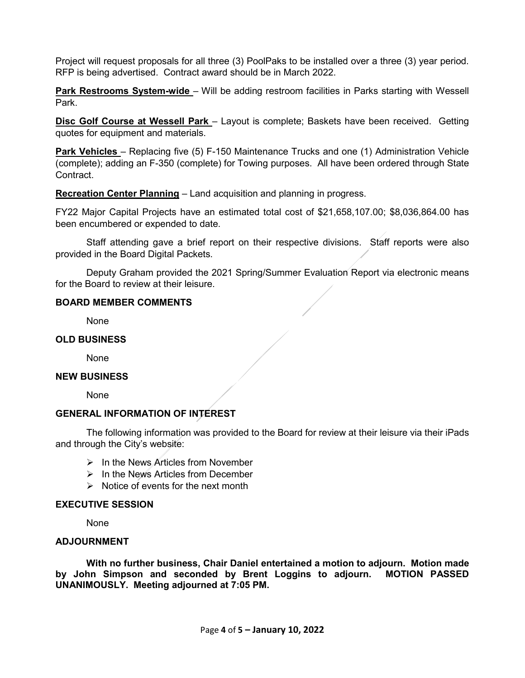Project will request proposals for all three (3) PoolPaks to be installed over a three (3) year period. RFP is being advertised. Contract award should be in March 2022.

**Park Restrooms System-wide** – Will be adding restroom facilities in Parks starting with Wessell Park.

**Disc Golf Course at Wessell Park** – Layout is complete; Baskets have been received. Getting quotes for equipment and materials.

**Park Vehicles** – Replacing five (5) F-150 Maintenance Trucks and one (1) Administration Vehicle (complete); adding an F-350 (complete) for Towing purposes. All have been ordered through State Contract.

**Recreation Center Planning** – Land acquisition and planning in progress.

FY22 Major Capital Projects have an estimated total cost of \$21,658,107.00; \$8,036,864.00 has been encumbered or expended to date.

Staff attending gave a brief report on their respective divisions. Staff reports were also provided in the Board Digital Packets.

Deputy Graham provided the 2021 Spring/Summer Evaluation Report via electronic means for the Board to review at their leisure.

## **BOARD MEMBER COMMENTS**

None

## **OLD BUSINESS**

None

## **NEW BUSINESS**

None

# **GENERAL INFORMATION OF INTEREST**

The following information was provided to the Board for review at their leisure via their iPads and through the City's website:

- $\triangleright$  In the News Articles from November
- $\triangleright$  In the News Articles from December
- $\triangleright$  Notice of events for the next month

## **EXECUTIVE SESSION**

None

## **ADJOURNMENT**

**With no further business, Chair Daniel entertained a motion to adjourn. Motion made by John Simpson and seconded by Brent Loggins to adjourn. MOTION PASSED UNANIMOUSLY. Meeting adjourned at 7:05 PM.**